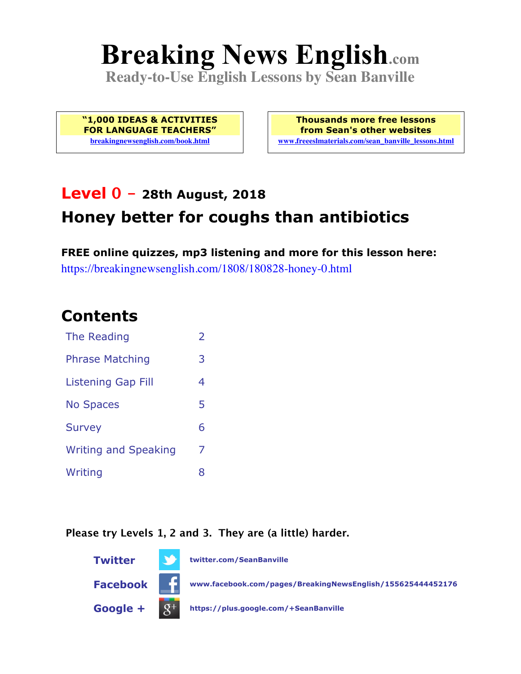# **Breaking News English.com**

**Ready-to-Use English Lessons by Sean Banville**

**"1,000 IDEAS & ACTIVITIES FOR LANGUAGE TEACHERS" breakingnewsenglish.com/book.html**

**Thousands more free lessons from Sean's other websites www.freeeslmaterials.com/sean\_banville\_lessons.html**

# **Level 0 - 28th August, 2018 Honey better for coughs than antibiotics**

**FREE online quizzes, mp3 listening and more for this lesson here:** https://breakingnewsenglish.com/1808/180828-honey-0.html

#### **Contents**

| The Reading                 | $\overline{2}$ |
|-----------------------------|----------------|
| <b>Phrase Matching</b>      | 3              |
| <b>Listening Gap Fill</b>   | 4              |
| <b>No Spaces</b>            | 5              |
| <b>Survey</b>               | 6              |
| <b>Writing and Speaking</b> | 7              |
| Writing                     | 8              |

**Please try Levels 1, 2 and 3. They are (a little) harder.**

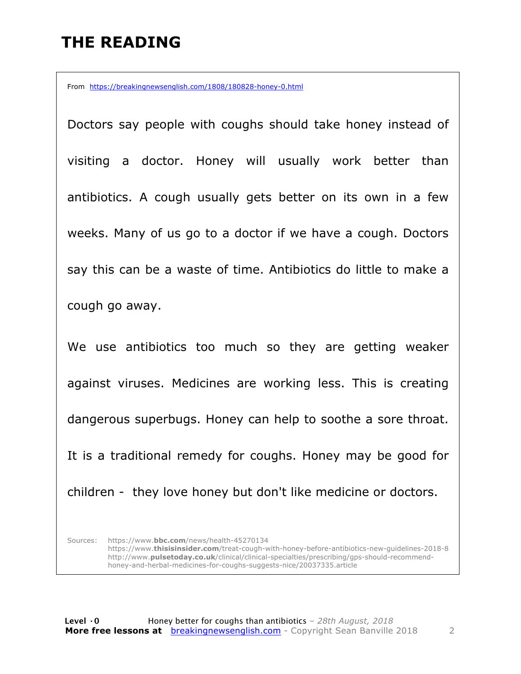#### **THE READING**

From https://breakingnewsenglish.com/1808/180828-honey-0.html

Doctors say people with coughs should take honey instead of visiting a doctor. Honey will usually work better than antibiotics. A cough usually gets better on its own in a few weeks. Many of us go to a doctor if we have a cough. Doctors say this can be a waste of time. Antibiotics do little to make a cough go away.

We use antibiotics too much so they are getting weaker against viruses. Medicines are working less. This is creating dangerous superbugs. Honey can help to soothe a sore throat. It is a traditional remedy for coughs. Honey may be good for children - they love honey but don't like medicine or doctors.

Sources: https://www.**bbc.com**/news/health-45270134 https://www.**thisisinsider.com**/treat-cough-with-honey-before-antibiotics-new-guidelines-2018-8 http://www.**pulsetoday.co.uk**/clinical/clinical-specialties/prescribing/gps-should-recommendhoney-and-herbal-medicines-for-coughs-suggests-nice/20037335.article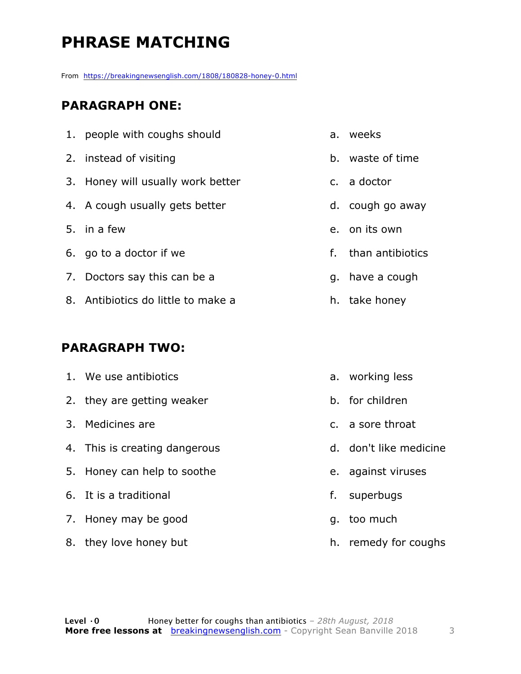# **PHRASE MATCHING**

From https://breakingnewsenglish.com/1808/180828-honey-0.html

#### **PARAGRAPH ONE:**

- 1. people with coughs should
- 2. instead of visiting
- 3. Honey will usually work better
- 4. A cough usually gets better
- 5. in a few
- 6. go to a doctor if we
- 7. Doctors say this can be a
- 8. Antibiotics do little to make a

#### **PARAGRAPH TWO:**

1. We use antibiotics 2. they are getting weaker 3. Medicines are 4. This is creating dangerous 5. Honey can help to soothe 6. It is a traditional 7. Honey may be good 8. they love honey but a. working less b. for children c. a sore throat d. don't like medicine e. against viruses f. superbugs g. too much

e. on its own

a. weeks

c. a doctor

b. waste of time

f. than antibiotics

d. cough go away

- g. have a cough
- h. take honey

h. remedy for coughs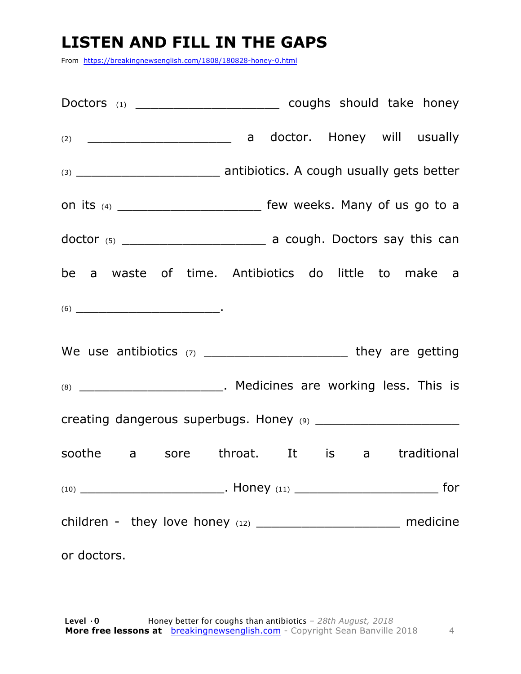### **LISTEN AND FILL IN THE GAPS**

From https://breakingnewsenglish.com/1808/180828-honey-0.html

| Doctors (1) _________________________________ coughs should take honey                                                                                                                                                                                                                                                                                                                                                      |  |  |     |
|-----------------------------------------------------------------------------------------------------------------------------------------------------------------------------------------------------------------------------------------------------------------------------------------------------------------------------------------------------------------------------------------------------------------------------|--|--|-----|
|                                                                                                                                                                                                                                                                                                                                                                                                                             |  |  |     |
|                                                                                                                                                                                                                                                                                                                                                                                                                             |  |  |     |
| on its (4) ___________________________ few weeks. Many of us go to a                                                                                                                                                                                                                                                                                                                                                        |  |  |     |
| $dofor$ (5) $\frac{1}{\sqrt{1-\frac{1}{\sqrt{1-\frac{1}{\sqrt{1-\frac{1}{\sqrt{1-\frac{1}{\sqrt{1-\frac{1}{\sqrt{1-\frac{1}{\sqrt{1-\frac{1}{\sqrt{1-\frac{1}{\sqrt{1-\frac{1}{\sqrt{1-\frac{1}{\sqrt{1-\frac{1}{\sqrt{1-\frac{1}{\sqrt{1-\frac{1}{\sqrt{1-\frac{1}{\sqrt{1-\frac{1}{\sqrt{1-\frac{1}{\sqrt{1-\frac{1}{\sqrt{1-\frac{1}{\sqrt{1-\frac{1}{\sqrt{1-\frac{1}{\sqrt{1-\frac{1}{\sqrt{1-\frac{1}{\sqrt{1-\frac{$ |  |  |     |
| be a waste of time. Antibiotics do little to make a                                                                                                                                                                                                                                                                                                                                                                         |  |  |     |
| $(6) \begin{tabular}{l} \hline \rule[1em]{1em}{1em} \rule[1em]{1em}{1em} \rule[1em]{1em}{1em} \rule[1em]{1em}{1em} \rule[1em]{1em}{1em} \rule[1em]{1em}{1em} \rule[1em]{1em}{1em} \rule[1em]{1em}{1em} \rule[1em]{1em}{1em} \rule[1em]{1em}{1em} \rule[1em]{1em}{1em} \rule[1em]{1em}{1em} \rule[1em]{1em}{1em} \rule[1em]{1em}{1em} \rule[1em]{1em}{1em} \rule[1em]{1em}{1em} \rule[1em]{1em}{1em} \rule$                  |  |  |     |
|                                                                                                                                                                                                                                                                                                                                                                                                                             |  |  |     |
| (8) _____________________________. Medicines are working less. This is                                                                                                                                                                                                                                                                                                                                                      |  |  |     |
|                                                                                                                                                                                                                                                                                                                                                                                                                             |  |  |     |
| soothe a sore throat. It is a traditional                                                                                                                                                                                                                                                                                                                                                                                   |  |  |     |
|                                                                                                                                                                                                                                                                                                                                                                                                                             |  |  | for |
|                                                                                                                                                                                                                                                                                                                                                                                                                             |  |  |     |
| or doctors.                                                                                                                                                                                                                                                                                                                                                                                                                 |  |  |     |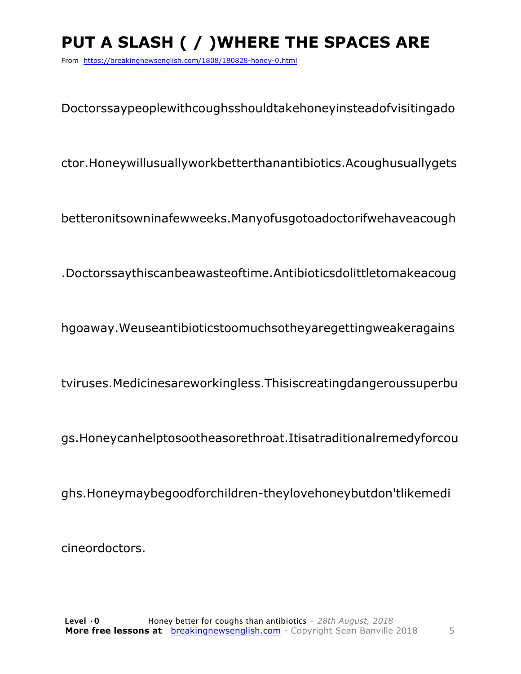# PUT A SLASH ( / ) WHERE THE SPACES ARE

From https://breakingnewsenglish.com/1808/180828-honey-0.html

Doctorssaypeoplewithcoughsshouldtakehoneyinsteadofvisitingado

ctor.Honeywillusuallyworkbetterthanantibiotics.Acoughusuallygets

betteronitsowninafewweeks.Manyofusgotoadoctorifwehaveacough

.Doctorssaythiscanbeawasteoftime.Antibioticsdolittletomakeacoug

hgoaway. Weuseantibiotics toomuchs othey are getting weaker agains

tviruses.Medicinesareworkingless.Thisiscreatingdangeroussuperbu

gs.Honeycanhelptosootheasorethroat.Itisatraditionalremedyforcou

ghs.Honeymaybegoodforchildren-theylovehoneybutdon'tlikemedi

cineordoctors.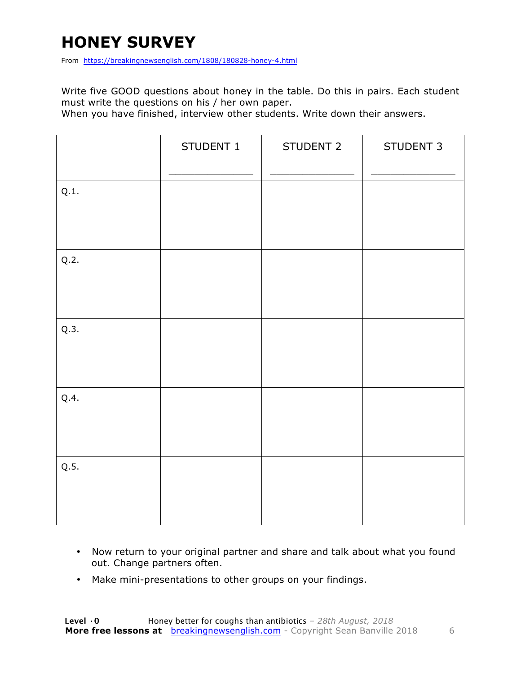# **HONEY SURVEY**

From https://breakingnewsenglish.com/1808/180828-honey-4.html

Write five GOOD questions about honey in the table. Do this in pairs. Each student must write the questions on his / her own paper.

When you have finished, interview other students. Write down their answers.

|      | STUDENT 1 | STUDENT 2 | STUDENT 3 |
|------|-----------|-----------|-----------|
| Q.1. |           |           |           |
| Q.2. |           |           |           |
| Q.3. |           |           |           |
| Q.4. |           |           |           |
| Q.5. |           |           |           |

- Now return to your original partner and share and talk about what you found out. Change partners often.
- Make mini-presentations to other groups on your findings.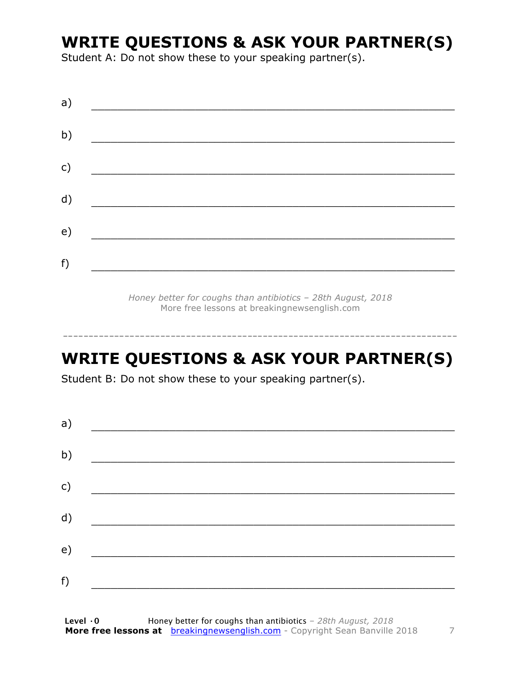### **WRITE QUESTIONS & ASK YOUR PARTNER(S)**

Student A: Do not show these to your speaking partner(s).

*Honey better for coughs than antibiotics – 28th August, 2018* More free lessons at breakingnewsenglish.com

#### **WRITE QUESTIONS & ASK YOUR PARTNER(S)**

-----------------------------------------------------------------------------

Student B: Do not show these to your speaking partner(s).

| a) |  |  |
|----|--|--|
| b) |  |  |
| c) |  |  |
| d) |  |  |
| e) |  |  |
|    |  |  |
| f) |  |  |